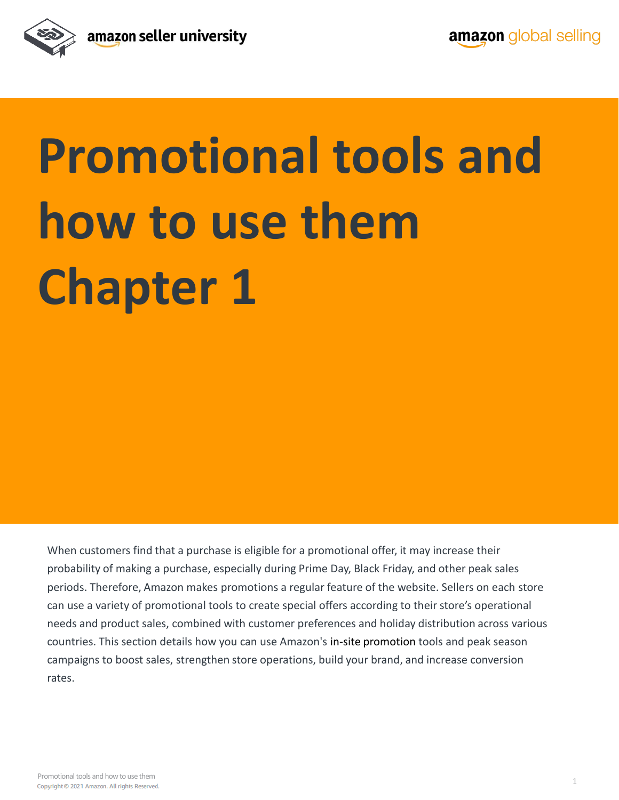

# **Promotional tools and how to use them Chapter 1**

When customers find that a purchase is eligible for a promotional offer, it may increase their probability of making a purchase, especially during Prime Day, Black Friday, and other peak sales periods. Therefore, Amazon makes promotions a regular feature of the website. Sellers on each store can use a variety of promotional tools to create special offers according to their store's operational needs and product sales, combined with customer preferences and holiday distribution across various countries. This section details how you can use Amazon's in-site promotion tools and peak season campaigns to boost sales, strengthen store operations, build your brand, and increase conversion rates.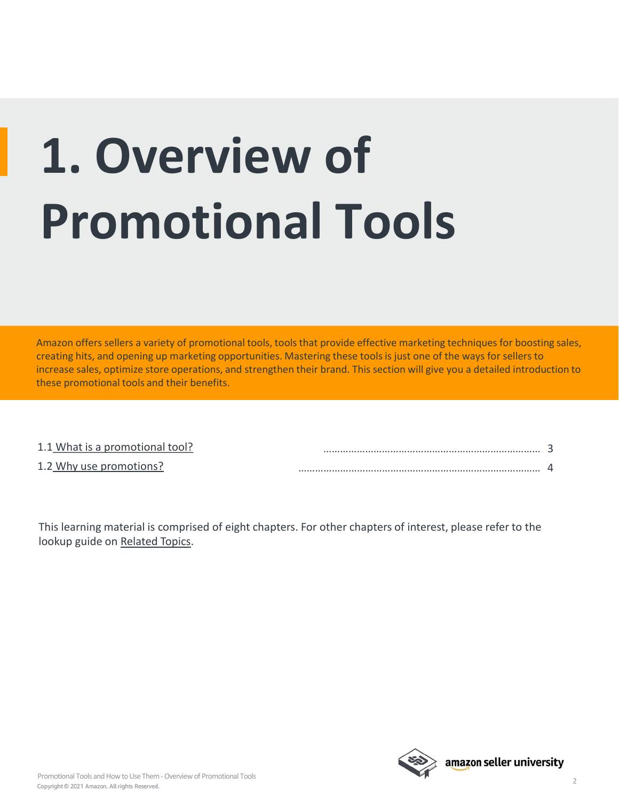# **1. Overview of Promotional Tools**

Amazon offers sellers a variety of promotional tools, tools that provide effective marketing techniques for boosting sales, creating hits, and opening up marketing opportunities. Mastering these tools is just one of the ways for sellers to increase sales, optimize store operations, and strengthen their brand. This section will give you a detailed introduction to these promotional tools and their benefits.

| 1.1 What is a promotional tool? |  |
|---------------------------------|--|
| 1.2 Why use promotions?         |  |

This learning material is comprised of eight chapters. For other chapters of interest, please refer to the lookup guide on [Related Topics.](#page-5-0)

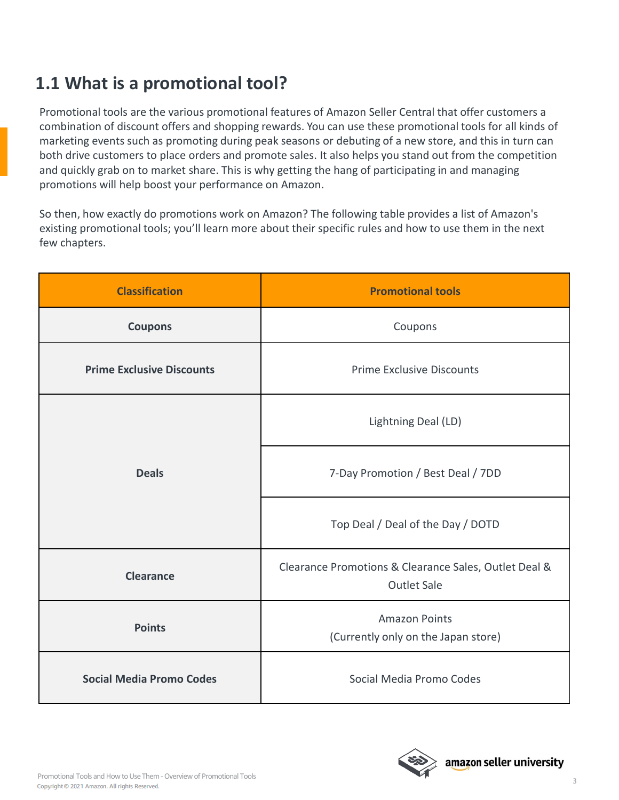### <span id="page-2-0"></span>**1.1 What is a promotional tool?**

Promotional tools are the various promotional features of Amazon Seller Central that offer customers a combination of discount offers and shopping rewards. You can use these promotional tools for all kinds of marketing events such as promoting during peak seasons or debuting of a new store, and this in turn can both drive customers to place orders and promote sales. It also helps you stand out from the competition and quickly grab on to market share. This is why getting the hang of participating in and managing promotions will help boost your performance on Amazon.

So then, how exactly do promotions work on Amazon? The following table provides a list of Amazon's existing promotional tools; you'll learn more about their specific rules and how to use them in the next few chapters.

| <b>Classification</b>            | <b>Promotional tools</b>                                                    |
|----------------------------------|-----------------------------------------------------------------------------|
| <b>Coupons</b>                   | Coupons                                                                     |
| <b>Prime Exclusive Discounts</b> | <b>Prime Exclusive Discounts</b>                                            |
| <b>Deals</b>                     | Lightning Deal (LD)                                                         |
|                                  | 7-Day Promotion / Best Deal / 7DD                                           |
|                                  | Top Deal / Deal of the Day / DOTD                                           |
| <b>Clearance</b>                 | Clearance Promotions & Clearance Sales, Outlet Deal &<br><b>Outlet Sale</b> |
| <b>Points</b>                    | <b>Amazon Points</b><br>(Currently only on the Japan store)                 |
| <b>Social Media Promo Codes</b>  | Social Media Promo Codes                                                    |

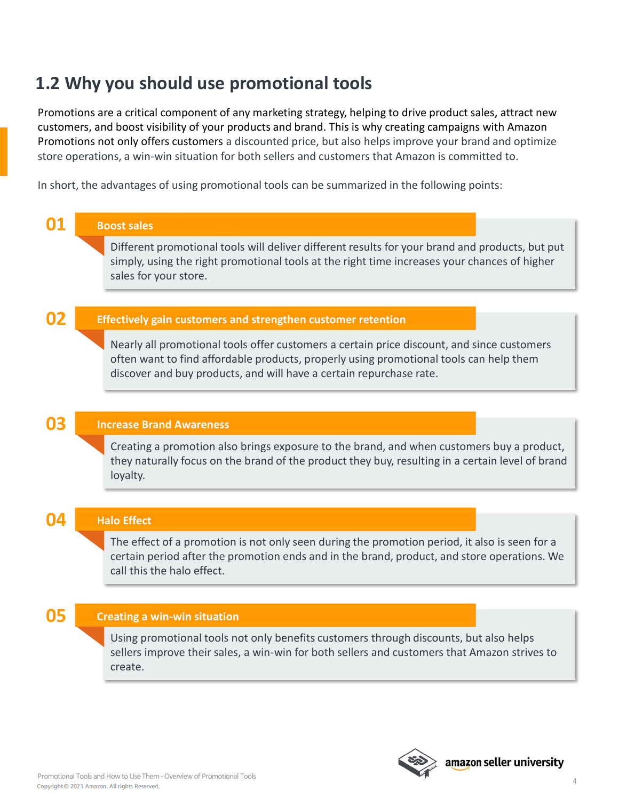### <span id="page-3-0"></span>**1.2 Why you should use promotional tools**

Promotions are a critical component of any marketing strategy, helping to drive product sales, attract new customers, and boost visibility of your products and brand. This is why creating campaigns with Amazon Promotions not only offers customers a discounted price, but also helps improve your brand and optimize store operations, a win-win situation for both sellers and customers that Amazon is committed to.

In short, the advantages of using promotional tools can be summarized in the following points:

| <b>Boost sales</b>                                                                                                                                                                                                                                          |
|-------------------------------------------------------------------------------------------------------------------------------------------------------------------------------------------------------------------------------------------------------------|
| Different promotional tools will deliver different results for your brand and products, but put<br>simply, using the right promotional tools at the right time increases your chances of higher<br>sales for your store.                                    |
|                                                                                                                                                                                                                                                             |
| Effectively gain customers and strengthen customer retention                                                                                                                                                                                                |
| Nearly all promotional tools offer customers a certain price discount, and since customers<br>often want to find affordable products, properly using promotional tools can help them<br>discover and buy products, and will have a certain repurchase rate. |
|                                                                                                                                                                                                                                                             |
| <b>Increase Brand Awareness</b>                                                                                                                                                                                                                             |
| Creating a promotion also brings exposure to the brand, and when customers buy a product,<br>they naturally focus on the brand of the product they buy, resulting in a certain level of brand<br>loyalty.                                                   |
|                                                                                                                                                                                                                                                             |
| <b>Halo Effect</b>                                                                                                                                                                                                                                          |
| The effect of a promotion is not only seen during the promotion period, it also is seen for a<br>certain period after the promotion ends and in the brand, product, and store operations. We<br>call this the halo effect.                                  |
|                                                                                                                                                                                                                                                             |
| <b>Creating a win-win situation</b>                                                                                                                                                                                                                         |
| Using promotional tools not only benefits customers through discounts, but also helps<br>sellers improve their sales, a win-win for both sellers and customers that Amazon strives to<br>create.                                                            |
|                                                                                                                                                                                                                                                             |



4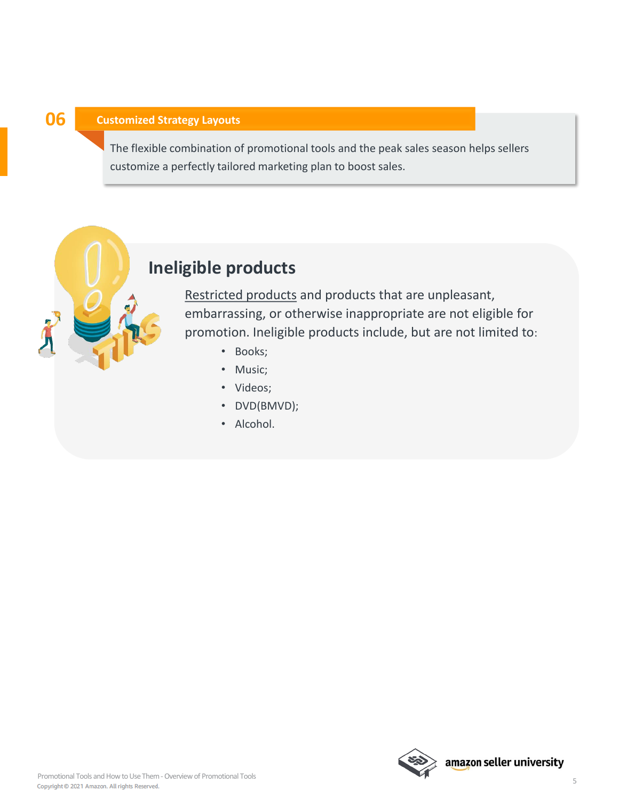#### **06 Customized Strategy Layouts**

The flexible combination of promotional tools and the peak sales season helps sellers customize a perfectly tailored marketing plan to boost sales.

### **Ineligible products**

[Restricted products](https://sellercentral.amazon.com/gp/help/help.html/?itemID=G200164330&ref_=ag_G200164330_h_r0_cont_sgsearch) and products that are unpleasant, embarrassing, or otherwise inappropriate are not eligible for promotion. Ineligible products include, but are not limited to:

- Books;
- Music;
- Videos;
- DVD(BMVD);
- Alcohol.

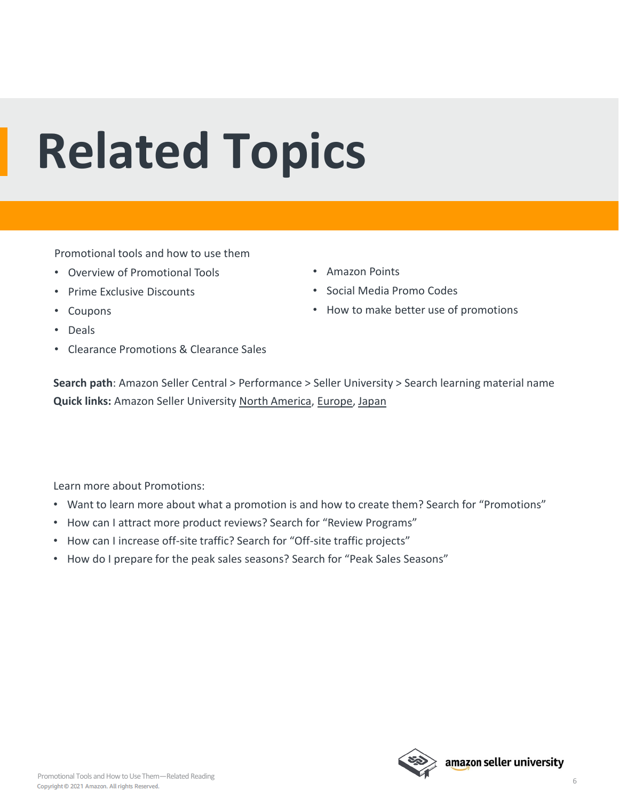## <span id="page-5-0"></span>**Related Topics**

Promotional tools and how to use them

- Overview of Promotional Tools
- Prime Exclusive Discounts
- Coupons
- Deals
- Clearance Promotions & Clearance Sales
- Amazon Points
- Social Media Promo Codes
- How to make better use of promotions

**Search path**: Amazon Seller Central > Performance > Seller University > Search learning material name **Quick links:** Amazon Seller University [North America](https://sellercentral.amazon.com/learn/ref=xx_su_dnav_xx?ref_=xx_swlang_head_xx&mons_sel_locale=zh_CN&languageSwitched=1), [Europe,](https://sellercentral.amazon.co.uk/learn/ref=xx_su_dnav_xx?ref_=xx_swlang_head_xx&mons_sel_locale=zh_CN&languageSwitched=1) [Japan](https://sellercentral-japan.amazon.com/learn/ref=xx_su_dnav_xx) 

Learn more about Promotions:

- Want to learn more about what a promotion is and how to create them? Search for "Promotions"
- How can I attract more product reviews? Search for "Review Programs"
- How can I increase off-site traffic? Search for "Off-site traffic projects"
- How do I prepare for the peak sales seasons? Search for "Peak Sales Seasons"

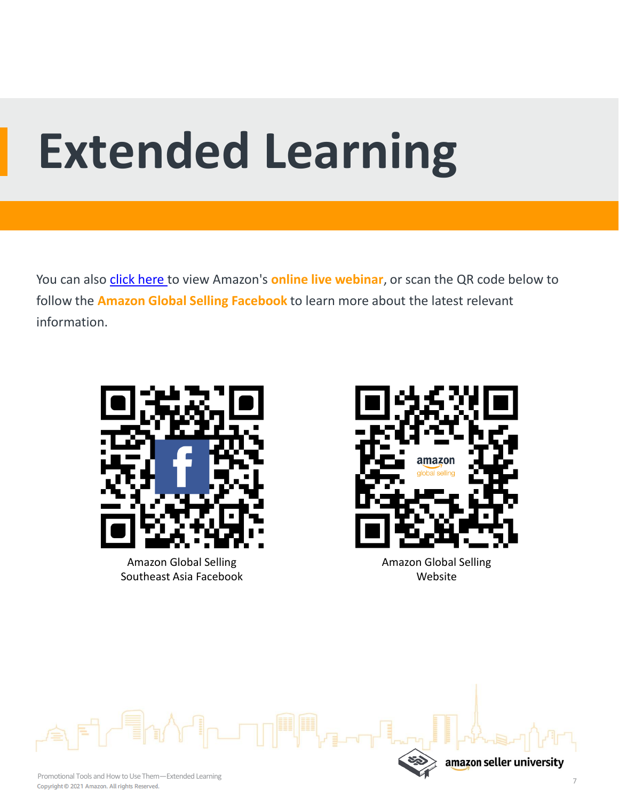## **Extended Learning**

You can also [click here](https://sell.amazon.com.sg/learn/live-webinars?ref_=sdsg_soa_lw_n) to view Amazon's **online live webinar**, or scan the QR code below to follow the **Amazon Global Selling Facebook** to learn more about the latest relevant information.



Amazon Global Selling Southeast Asia Facebook



Website



amazon seller university